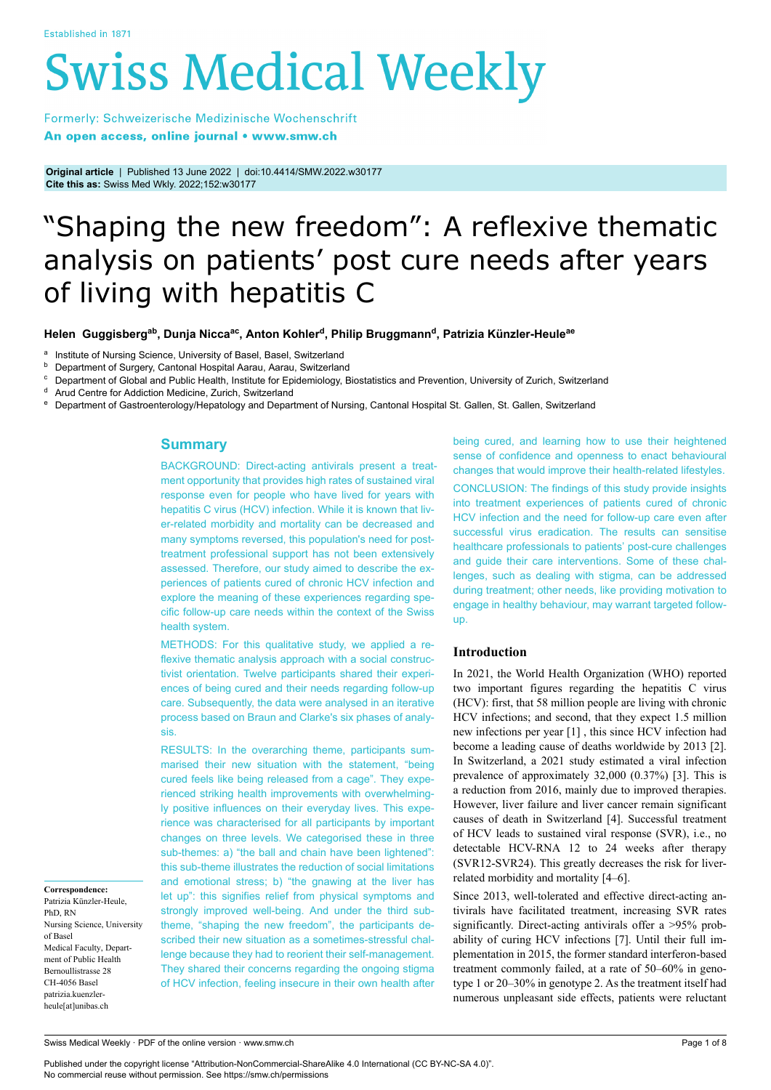# **Swiss Medical Weekly**

Formerly: Schweizerische Medizinische Wochenschrift An open access, online journal • www.smw.ch

**Original article** | Published 13 June 2022 | doi:10.4414/SMW.2022.w30177 **Cite this as:** Swiss Med Wkly. 2022;152:w30177

# "Shaping the new freedom": A reflexive thematic analysis on patients' post cure needs after years of living with hepatitis C

**Helen Guggisbergab, Dunja Niccaac, Anton Kohler<sup>d</sup> , Philip Bruggmann<sup>d</sup> , Patrizia Künzler-Heuleae**

<sup>a</sup> Institute of Nursing Science, University of Basel, Basel, Switzerland

**b** Department of Surgery, Cantonal Hospital Aarau, Aarau, Switzerland

<sup>c</sup> Department of Global and Public Health, Institute for Epidemiology, Biostatistics and Prevention, University of Zurich, Switzerland

Arud Centre for Addiction Medicine, Zurich, Switzerland

<sup>e</sup> Department of Gastroenterology/Hepatology and Department of Nursing, Cantonal Hospital St. Gallen, St. Gallen, Switzerland

# **Summary**

BACKGROUND: Direct-acting antivirals present a treatment opportunity that provides high rates of sustained viral response even for people who have lived for years with hepatitis C virus (HCV) infection. While it is known that liver-related morbidity and mortality can be decreased and many symptoms reversed, this population's need for posttreatment professional support has not been extensively assessed. Therefore, our study aimed to describe the experiences of patients cured of chronic HCV infection and explore the meaning of these experiences regarding specific follow-up care needs within the context of the Swiss health system.

METHODS: For this qualitative study, we applied a reflexive thematic analysis approach with a social constructivist orientation. Twelve participants shared their experiences of being cured and their needs regarding follow-up care. Subsequently, the data were analysed in an iterative process based on Braun and Clarke's six phases of analysis.

RESULTS: In the overarching theme, participants summarised their new situation with the statement, "being cured feels like being released from a cage". They experienced striking health improvements with overwhelmingly positive influences on their everyday lives. This experience was characterised for all participants by important changes on three levels. We categorised these in three sub-themes: a) "the ball and chain have been lightened": this sub-theme illustrates the reduction of social limitations and emotional stress; b) "the gnawing at the liver has let up": this signifies relief from physical symptoms and strongly improved well-being. And under the third subtheme, "shaping the new freedom", the participants described their new situation as a sometimes-stressful challenge because they had to reorient their self-management. They shared their concerns regarding the ongoing stigma of HCV infection, feeling insecure in their own health after

being cured, and learning how to use their heightened sense of confidence and openness to enact behavioural changes that would improve their health-related lifestyles. CONCLUSION: The findings of this study provide insights into treatment experiences of patients cured of chronic HCV infection and the need for follow-up care even after successful virus eradication. The results can sensitise healthcare professionals to patients' post-cure challenges and guide their care interventions. Some of these challenges, such as dealing with stigma, can be addressed during treatment; other needs, like providing motivation to engage in healthy behaviour, may warrant targeted followup.

# **Introduction**

In 2021, the World Health Organization (WHO) reported two important figures regarding the hepatitis C virus (HCV): first, that 58 million people are living with chronic HCV infections; and second, that they expect 1.5 million new infections per year [1] , this since HCV infection had become a leading cause of deaths worldwide by 2013 [2]. In Switzerland, a 2021 study estimated a viral infection prevalence of approximately 32,000 (0.37%) [3]. This is a reduction from 2016, mainly due to improved therapies. However, liver failure and liver cancer remain significant causes of death in Switzerland [4]. Successful treatment of HCV leads to sustained viral response (SVR), i.e., no detectable HCV-RNA 12 to 24 weeks after therapy (SVR12-SVR24). This greatly decreases the risk for liverrelated morbidity and mortality [4–6].

Since 2013, well-tolerated and effective direct-acting antivirals have facilitated treatment, increasing SVR rates significantly. Direct-acting antivirals offer a >95% probability of curing HCV infections [7]. Until their full implementation in 2015, the former standard interferon-based treatment commonly failed, at a rate of 50–60% in genotype 1 or 20–30% in genotype 2. As the treatment itself had numerous unpleasant side effects, patients were reluctant

**Correspondence:** Patrizia Künzler-Heule, PhD, RN Nursing Science, University of Basel Medical Faculty, Department of Public Health Bernoullistrasse 28 CH-4056 Basel patrizia.kuenzlerheule[at]unibas.ch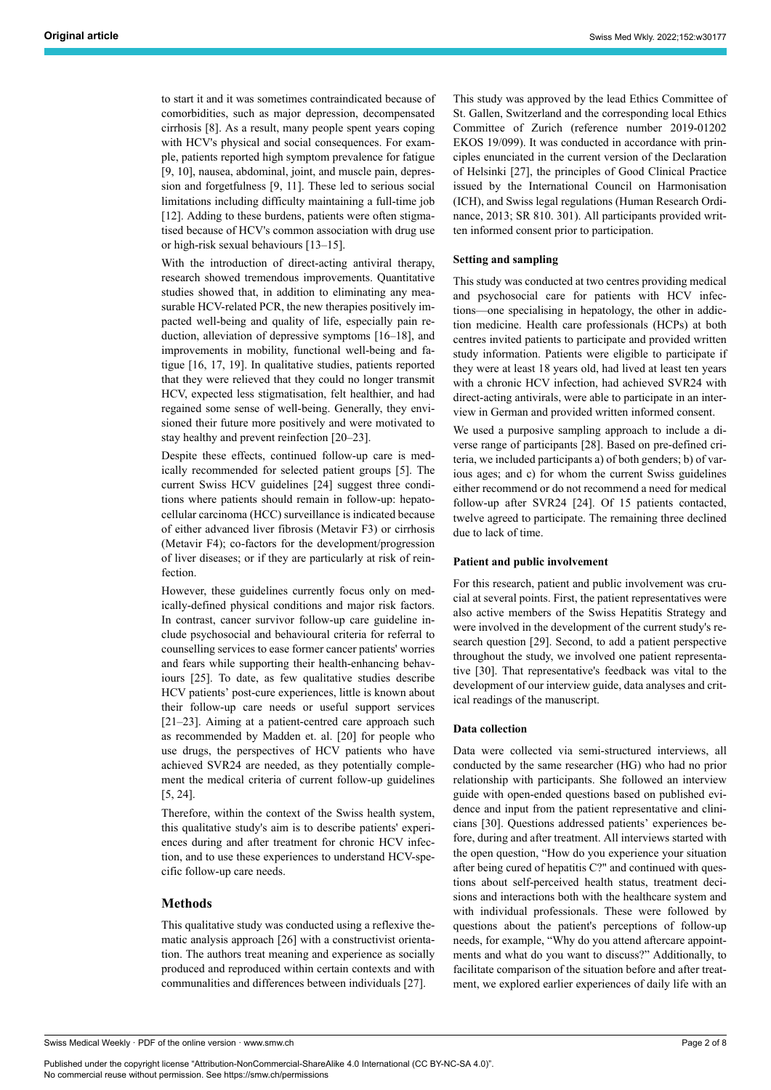to start it and it was sometimes contraindicated because of comorbidities, such as major depression, decompensated cirrhosis [8]. As a result, many people spent years coping with HCV's physical and social consequences. For example, patients reported high symptom prevalence for fatigue [9, 10], nausea, abdominal, joint, and muscle pain, depression and forgetfulness [9, 11]. These led to serious social limitations including difficulty maintaining a full-time job [12]. Adding to these burdens, patients were often stigmatised because of HCV's common association with drug use or high-risk sexual behaviours [13–15].

With the introduction of direct-acting antiviral therapy, research showed tremendous improvements. Quantitative studies showed that, in addition to eliminating any measurable HCV-related PCR, the new therapies positively impacted well-being and quality of life, especially pain reduction, alleviation of depressive symptoms [16–18], and improvements in mobility, functional well-being and fatigue [16, 17, 19]. In qualitative studies, patients reported that they were relieved that they could no longer transmit HCV, expected less stigmatisation, felt healthier, and had regained some sense of well-being. Generally, they envisioned their future more positively and were motivated to stay healthy and prevent reinfection [20–23].

Despite these effects, continued follow-up care is medically recommended for selected patient groups [5]. The current Swiss HCV guidelines [24] suggest three conditions where patients should remain in follow-up: hepatocellular carcinoma (HCC) surveillance is indicated because of either advanced liver fibrosis (Metavir F3) or cirrhosis (Metavir F4); co-factors for the development/progression of liver diseases; or if they are particularly at risk of reinfection.

However, these guidelines currently focus only on medically-defined physical conditions and major risk factors. In contrast, cancer survivor follow-up care guideline include psychosocial and behavioural criteria for referral to counselling services to ease former cancer patients' worries and fears while supporting their health-enhancing behaviours [25]. To date, as few qualitative studies describe HCV patients' post-cure experiences, little is known about their follow-up care needs or useful support services [21–23]. Aiming at a patient-centred care approach such as recommended by Madden et. al. [20] for people who use drugs, the perspectives of HCV patients who have achieved SVR24 are needed, as they potentially complement the medical criteria of current follow-up guidelines [5, 24].

Therefore, within the context of the Swiss health system, this qualitative study's aim is to describe patients' experiences during and after treatment for chronic HCV infection, and to use these experiences to understand HCV-specific follow-up care needs.

# **Methods**

This qualitative study was conducted using a reflexive thematic analysis approach [26] with a constructivist orientation. The authors treat meaning and experience as socially produced and reproduced within certain contexts and with communalities and differences between individuals [27].

This study was approved by the lead Ethics Committee of St. Gallen, Switzerland and the corresponding local Ethics Committee of Zurich (reference number 2019-01202 EKOS 19/099). It was conducted in accordance with principles enunciated in the current version of the Declaration of Helsinki [27], the principles of Good Clinical Practice issued by the International Council on Harmonisation (ICH), and Swiss legal regulations (Human Research Ordinance, 2013; SR 810. 301). All participants provided written informed consent prior to participation.

#### **Setting and sampling**

This study was conducted at two centres providing medical and psychosocial care for patients with HCV infections—one specialising in hepatology, the other in addiction medicine. Health care professionals (HCPs) at both centres invited patients to participate and provided written study information. Patients were eligible to participate if they were at least 18 years old, had lived at least ten years with a chronic HCV infection, had achieved SVR24 with direct-acting antivirals, were able to participate in an interview in German and provided written informed consent.

We used a purposive sampling approach to include a diverse range of participants [28]. Based on pre-defined criteria, we included participants a) of both genders; b) of various ages; and c) for whom the current Swiss guidelines either recommend or do not recommend a need for medical follow-up after SVR24 [24]. Of 15 patients contacted, twelve agreed to participate. The remaining three declined due to lack of time.

#### **Patient and public involvement**

For this research, patient and public involvement was crucial at several points. First, the patient representatives were also active members of the Swiss Hepatitis Strategy and were involved in the development of the current study's research question [29]. Second, to add a patient perspective throughout the study, we involved one patient representative [30]. That representative's feedback was vital to the development of our interview guide, data analyses and critical readings of the manuscript.

#### **Data collection**

Data were collected via semi-structured interviews, all conducted by the same researcher (HG) who had no prior relationship with participants. She followed an interview guide with open-ended questions based on published evidence and input from the patient representative and clinicians [30]. Questions addressed patients' experiences before, during and after treatment. All interviews started with the open question, "How do you experience your situation after being cured of hepatitis C?" and continued with questions about self-perceived health status, treatment decisions and interactions both with the healthcare system and with individual professionals. These were followed by questions about the patient's perceptions of follow-up needs, for example, "Why do you attend aftercare appointments and what do you want to discuss?" Additionally, to facilitate comparison of the situation before and after treatment, we explored earlier experiences of daily life with an

Published under the copyright license "Attribution-NonCommercial-ShareAlike 4.0 International (CC BY-NC-SA 4.0)". No commercial reuse without permission. See https://smw.ch/permissions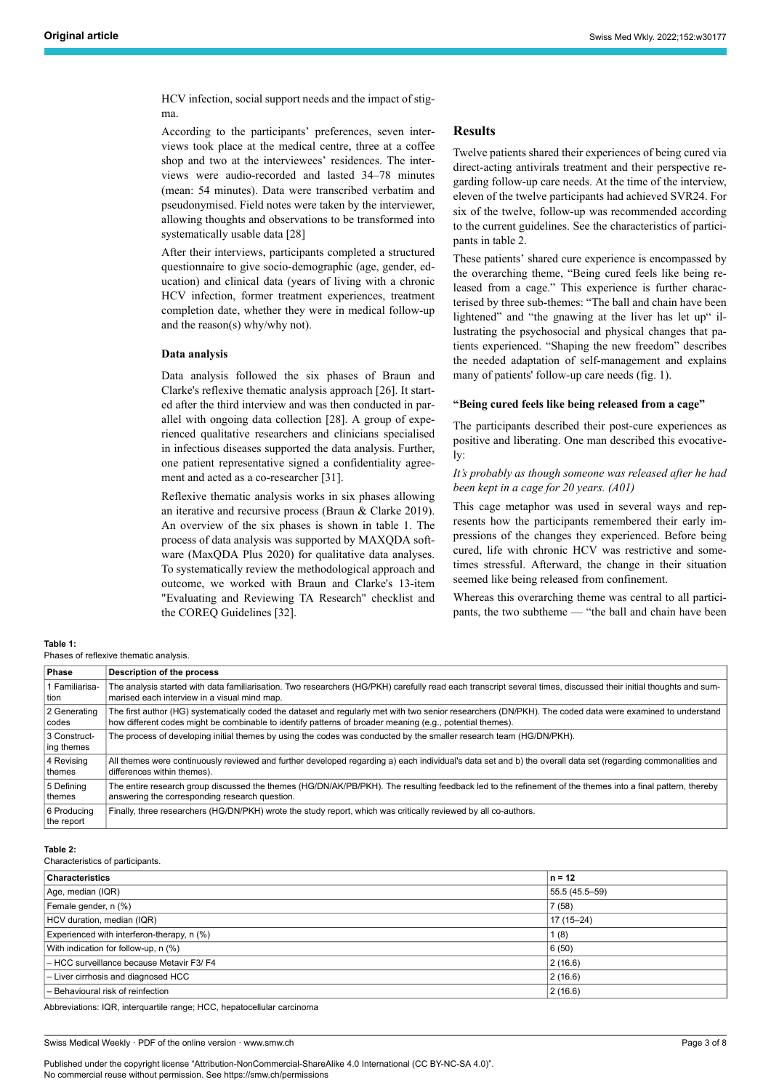HCV infection, social support needs and the impact of stigma.

According to the participants' preferences, seven interviews took place at the medical centre, three at a coffee shop and two at the interviewees' residences. The interviews were audio-recorded and lasted 34–78 minutes (mean: 54 minutes). Data were transcribed verbatim and pseudonymised. Field notes were taken by the interviewer, allowing thoughts and observations to be transformed into systematically usable data [28]

After their interviews, participants completed a structured questionnaire to give socio-demographic (age, gender, education) and clinical data (years of living with a chronic HCV infection, former treatment experiences, treatment completion date, whether they were in medical follow-up and the reason(s) why/why not).

#### **Data analysis**

Data analysis followed the six phases of Braun and Clarke's reflexive thematic analysis approach [26]. It started after the third interview and was then conducted in parallel with ongoing data collection [28]. A group of experienced qualitative researchers and clinicians specialised in infectious diseases supported the data analysis. Further, one patient representative signed a confidentiality agreement and acted as a co-researcher [31].

Reflexive thematic analysis works in six phases allowing an iterative and recursive process (Braun & Clarke 2019). An overview of the six phases is shown in table 1. The process of data analysis was supported by MAXQDA software (MaxQDA Plus 2020) for qualitative data analyses. To systematically review the methodological approach and outcome, we worked with Braun and Clarke's 13-item "Evaluating and Reviewing TA Research" checklist and the COREQ Guidelines [32].

#### **Results**

Twelve patients shared their experiences of being cured via direct-acting antivirals treatment and their perspective regarding follow-up care needs. At the time of the interview, eleven of the twelve participants had achieved SVR24. For six of the twelve, follow-up was recommended according to the current guidelines. See the characteristics of participants in table 2.

These patients' shared cure experience is encompassed by the overarching theme, "Being cured feels like being released from a cage." This experience is further characterised by three sub-themes: "The ball and chain have been lightened" and "the gnawing at the liver has let up" illustrating the psychosocial and physical changes that patients experienced. "Shaping the new freedom" describes the needed adaptation of self-management and explains many of patients' follow-up care needs (fig. 1).

### **"Being cured feels like being released from a cage"**

The participants described their post-cure experiences as positive and liberating. One man described this evocatively:

## *It's probably as though someone was released after he had been kept in a cage for 20 years. (A01)*

This cage metaphor was used in several ways and represents how the participants remembered their early impressions of the changes they experienced. Before being cured, life with chronic HCV was restrictive and sometimes stressful. Afterward, the change in their situation seemed like being released from confinement.

Whereas this overarching theme was central to all participants, the two subtheme — "the ball and chain have been

**Table 1:**

Phases of reflexive thematic analysis.

| Phase                      | Description of the process                                                                                                                                       |
|----------------------------|------------------------------------------------------------------------------------------------------------------------------------------------------------------|
| 1 Familiarisa-             | The analysis started with data familiarisation. Two researchers (HG/PKH) carefully read each transcript several times, discussed their initial thoughts and sum- |
| tion                       | marised each interview in a visual mind map.                                                                                                                     |
| 2 Generating               | The first author (HG) systematically coded the dataset and reqularly met with two senior researchers (DN/PKH). The coded data were examined to understand        |
| codes                      | how different codes might be combinable to identify patterns of broader meaning (e.g., potential themes).                                                        |
| 3 Construct-<br>ing themes | The process of developing initial themes by using the codes was conducted by the smaller research team (HG/DN/PKH).                                              |
| 4 Revising                 | All themes were continuously reviewed and further developed regarding a) each individual's data set and b) the overall data set (regarding commonalities and     |
| themes                     | differences within themes).                                                                                                                                      |
| 5 Defining                 | The entire research group discussed the themes (HG/DN/AK/PB/PKH). The resulting feedback led to the refinement of the themes into a final pattern, thereby       |
| themes                     | answering the corresponding research question.                                                                                                                   |
| 6 Producina<br>the report  | Finally, three researchers (HG/DN/PKH) wrote the study report, which was critically reviewed by all co-authors.                                                  |

#### **Table 2:**

Characteristics of participants.

| Characteristics                            | $n = 12$       |
|--------------------------------------------|----------------|
| Age, median (IQR)                          | 55.5 (45.5-59) |
| Female gender, n (%)                       | 7(58)          |
| HCV duration, median (IQR)                 | 17 (15-24)     |
| Experienced with interferon-therapy, n (%) | 1(8)           |
| With indication for follow-up, n (%)       | 6(50)          |
| - HCC surveillance because Metavir F3/ F4  | 2(16.6)        |
| - Liver cirrhosis and diagnosed HCC        | 2(16.6)        |
| - Behavioural risk of reinfection          | 2(16.6)        |

Abbreviations: IQR, interquartile range; HCC, hepatocellular carcinoma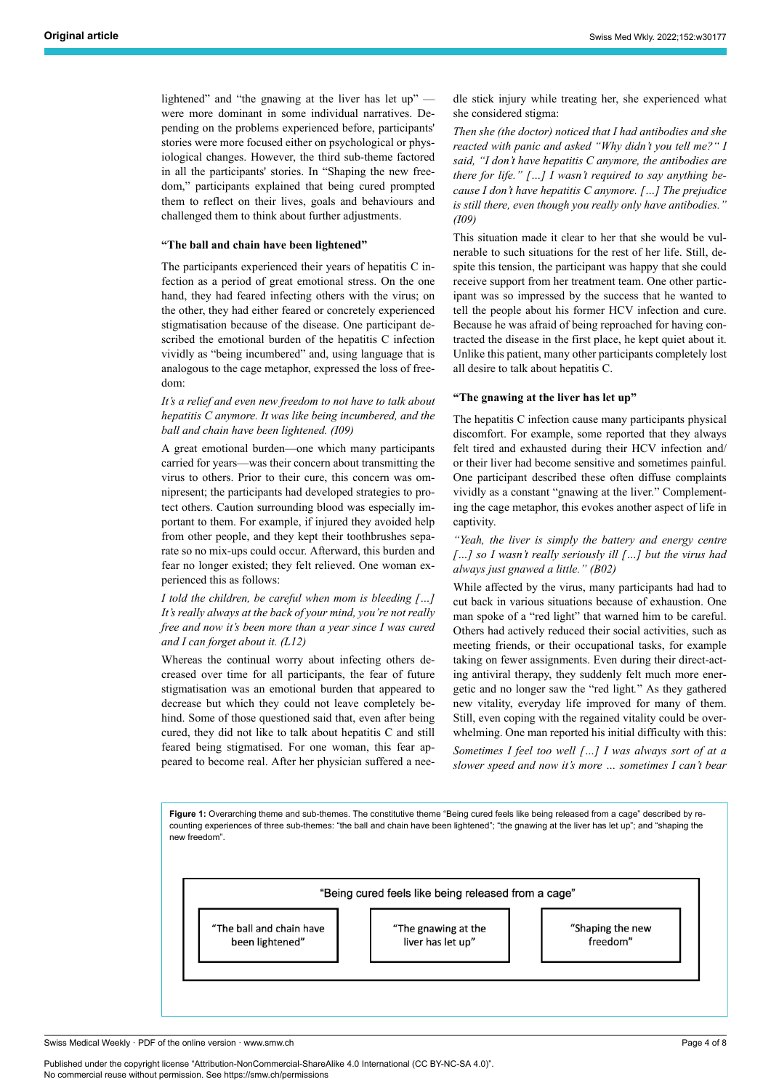lightened" and "the gnawing at the liver has let up" were more dominant in some individual narratives. Depending on the problems experienced before, participants' stories were more focused either on psychological or physiological changes. However, the third sub-theme factored in all the participants' stories. In "Shaping the new freedom," participants explained that being cured prompted them to reflect on their lives, goals and behaviours and challenged them to think about further adjustments.

#### **"The ball and chain have been lightened"**

The participants experienced their years of hepatitis C infection as a period of great emotional stress. On the one hand, they had feared infecting others with the virus; on the other, they had either feared or concretely experienced stigmatisation because of the disease. One participant described the emotional burden of the hepatitis C infection vividly as "being incumbered" and, using language that is analogous to the cage metaphor, expressed the loss of freedom:

# *It's a relief and even new freedom to not have to talk about hepatitis C anymore. It was like being incumbered, and the ball and chain have been lightened. (I09)*

A great emotional burden—one which many participants carried for years—was their concern about transmitting the virus to others. Prior to their cure, this concern was omnipresent; the participants had developed strategies to protect others. Caution surrounding blood was especially important to them. For example, if injured they avoided help from other people, and they kept their toothbrushes separate so no mix-ups could occur. Afterward, this burden and fear no longer existed; they felt relieved. One woman experienced this as follows:

*I told the children, be careful when mom is bleeding […] It's really always at the back of your mind, you're not really free and now it's been more than a year since I was cured and I can forget about it. (L12)*

Whereas the continual worry about infecting others decreased over time for all participants, the fear of future stigmatisation was an emotional burden that appeared to decrease but which they could not leave completely behind. Some of those questioned said that, even after being cured, they did not like to talk about hepatitis C and still feared being stigmatised. For one woman, this fear appeared to become real. After her physician suffered a needle stick injury while treating her, she experienced what she considered stigma:

*Then she (the doctor) noticed that I had antibodies and she reacted with panic and asked "Why didn't you tell me?" I said, "I don't have hepatitis C anymore, the antibodies are there for life." […] I wasn't required to say anything because I don't have hepatitis C anymore. […] The prejudice is still there, even though you really only have antibodies." (I09)*

This situation made it clear to her that she would be vulnerable to such situations for the rest of her life. Still, despite this tension, the participant was happy that she could receive support from her treatment team. One other participant was so impressed by the success that he wanted to tell the people about his former HCV infection and cure. Because he was afraid of being reproached for having contracted the disease in the first place, he kept quiet about it. Unlike this patient, many other participants completely lost all desire to talk about hepatitis C.

#### **"The gnawing at the liver has let up"**

The hepatitis C infection cause many participants physical discomfort. For example, some reported that they always felt tired and exhausted during their HCV infection and/ or their liver had become sensitive and sometimes painful. One participant described these often diffuse complaints vividly as a constant "gnawing at the liver." Complementing the cage metaphor, this evokes another aspect of life in captivity.

*"Yeah, the liver is simply the battery and energy centre […] so I wasn't really seriously ill […] but the virus had always just gnawed a little." (B02)*

While affected by the virus, many participants had had to cut back in various situations because of exhaustion. One man spoke of a "red light" that warned him to be careful. Others had actively reduced their social activities, such as meeting friends, or their occupational tasks, for example taking on fewer assignments. Even during their direct-acting antiviral therapy, they suddenly felt much more energetic and no longer saw the "red light*.*" As they gathered new vitality, everyday life improved for many of them. Still, even coping with the regained vitality could be overwhelming. One man reported his initial difficulty with this:

*Sometimes I feel too well […] I was always sort of at a slower speed and now it's more … sometimes I can't bear*

**Figure 1:** Overarching theme and sub-themes. The constitutive theme "Being cured feels like being released from a cage" described by recounting experiences of three sub-themes: "the ball and chain have been lightened"; "the gnawing at the liver has let up"; and "shaping the new freedom".

"Being cured feels like being released from a cage" The ball and chain have "The gnawing at the "Shaping the new freedom" been lightened' liver has let up"

Swiss Medical Weekly · PDF of the online version · www.smw.ch

Published under the copyright license "Attribution-NonCommercial-ShareAlike 4.0 International (CC BY-NC-SA 4.0)". No commercial reuse without permission. See https://smw.ch/permissions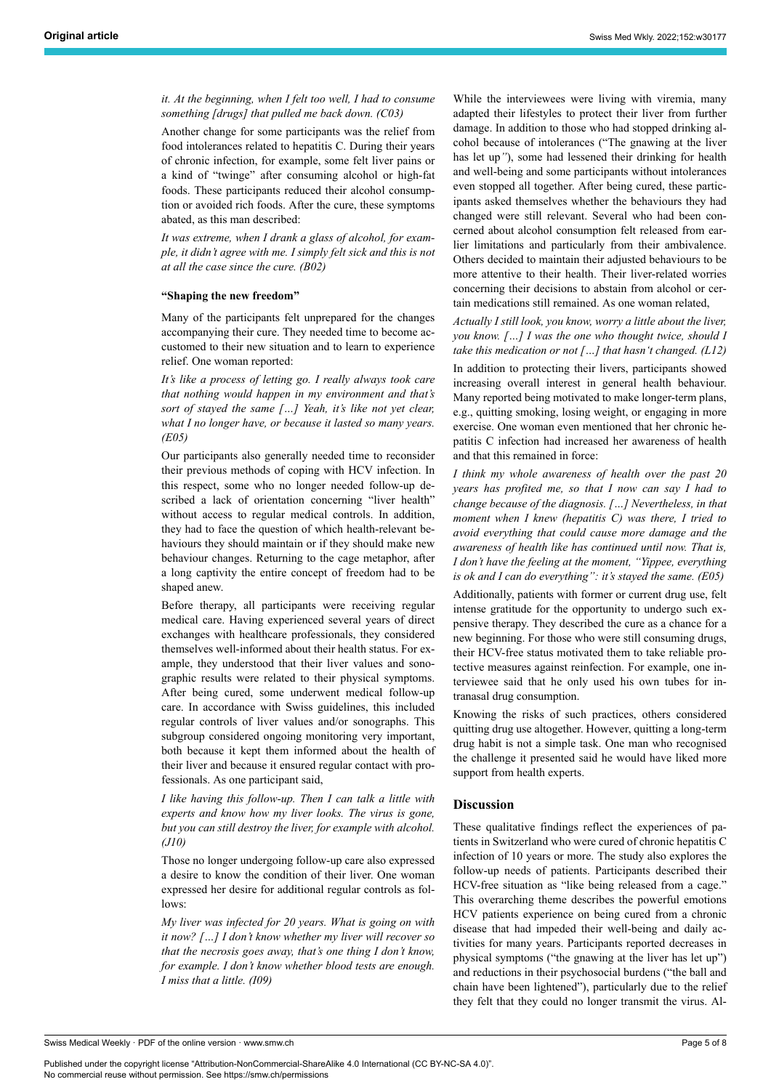*it. At the beginning, when I felt too well, I had to consume something [drugs] that pulled me back down. (C03)*

Another change for some participants was the relief from food intolerances related to hepatitis C. During their years of chronic infection, for example, some felt liver pains or a kind of "twinge" after consuming alcohol or high-fat foods. These participants reduced their alcohol consumption or avoided rich foods. After the cure, these symptoms abated, as this man described:

*It was extreme, when I drank a glass of alcohol, for example, it didn't agree with me. I simply felt sick and this is not at all the case since the cure. (B02)*

#### **"Shaping the new freedom"**

Many of the participants felt unprepared for the changes accompanying their cure. They needed time to become accustomed to their new situation and to learn to experience relief. One woman reported:

*It's like a process of letting go. I really always took care that nothing would happen in my environment and that's sort of stayed the same […] Yeah, it's like not yet clear, what I no longer have, or because it lasted so many years. (E05)*

Our participants also generally needed time to reconsider their previous methods of coping with HCV infection. In this respect, some who no longer needed follow-up described a lack of orientation concerning "liver health" without access to regular medical controls. In addition, they had to face the question of which health-relevant behaviours they should maintain or if they should make new behaviour changes. Returning to the cage metaphor, after a long captivity the entire concept of freedom had to be shaped anew.

Before therapy, all participants were receiving regular medical care. Having experienced several years of direct exchanges with healthcare professionals, they considered themselves well-informed about their health status. For example, they understood that their liver values and sonographic results were related to their physical symptoms. After being cured, some underwent medical follow-up care. In accordance with Swiss guidelines, this included regular controls of liver values and/or sonographs. This subgroup considered ongoing monitoring very important, both because it kept them informed about the health of their liver and because it ensured regular contact with professionals. As one participant said,

*I like having this follow-up. Then I can talk a little with experts and know how my liver looks. The virus is gone, but you can still destroy the liver, for example with alcohol. (J10)*

Those no longer undergoing follow-up care also expressed a desire to know the condition of their liver. One woman expressed her desire for additional regular controls as follows:

*My liver was infected for 20 years. What is going on with it now? […] I don't know whether my liver will recover so that the necrosis goes away, that's one thing I don't know, for example. I don't know whether blood tests are enough. I miss that a little. (I09)*

While the interviewees were living with viremia, many adapted their lifestyles to protect their liver from further damage. In addition to those who had stopped drinking alcohol because of intolerances ("The gnawing at the liver has let up*"*), some had lessened their drinking for health and well-being and some participants without intolerances even stopped all together. After being cured, these participants asked themselves whether the behaviours they had changed were still relevant. Several who had been concerned about alcohol consumption felt released from earlier limitations and particularly from their ambivalence. Others decided to maintain their adjusted behaviours to be more attentive to their health. Their liver-related worries concerning their decisions to abstain from alcohol or certain medications still remained. As one woman related,

*Actually I still look, you know, worry a little about the liver, you know. […] I was the one who thought twice, should I take this medication or not […] that hasn't changed. (L12)*

In addition to protecting their livers, participants showed increasing overall interest in general health behaviour. Many reported being motivated to make longer-term plans, e.g., quitting smoking, losing weight, or engaging in more exercise. One woman even mentioned that her chronic hepatitis C infection had increased her awareness of health and that this remained in force:

*I think my whole awareness of health over the past 20 years has profited me, so that I now can say I had to change because of the diagnosis. […] Nevertheless, in that moment when I knew (hepatitis C) was there, I tried to avoid everything that could cause more damage and the awareness of health like has continued until now. That is, I don't have the feeling at the moment, "Yippee, everything is ok and I can do everything": it's stayed the same. (E05)* Additionally, patients with former or current drug use, felt intense gratitude for the opportunity to undergo such ex-

pensive therapy. They described the cure as a chance for a new beginning. For those who were still consuming drugs, their HCV-free status motivated them to take reliable protective measures against reinfection. For example, one interviewee said that he only used his own tubes for intranasal drug consumption.

Knowing the risks of such practices, others considered quitting drug use altogether. However, quitting a long-term drug habit is not a simple task. One man who recognised the challenge it presented said he would have liked more support from health experts.

#### **Discussion**

These qualitative findings reflect the experiences of patients in Switzerland who were cured of chronic hepatitis C infection of 10 years or more. The study also explores the follow-up needs of patients. Participants described their HCV-free situation as "like being released from a cage." This overarching theme describes the powerful emotions HCV patients experience on being cured from a chronic disease that had impeded their well-being and daily activities for many years. Participants reported decreases in physical symptoms ("the gnawing at the liver has let up") and reductions in their psychosocial burdens ("the ball and chain have been lightened"), particularly due to the relief they felt that they could no longer transmit the virus. Al-

Published under the copyright license "Attribution-NonCommercial-ShareAlike 4.0 International (CC BY-NC-SA 4.0)". No commercial reuse without permission. See https://smw.ch/permissions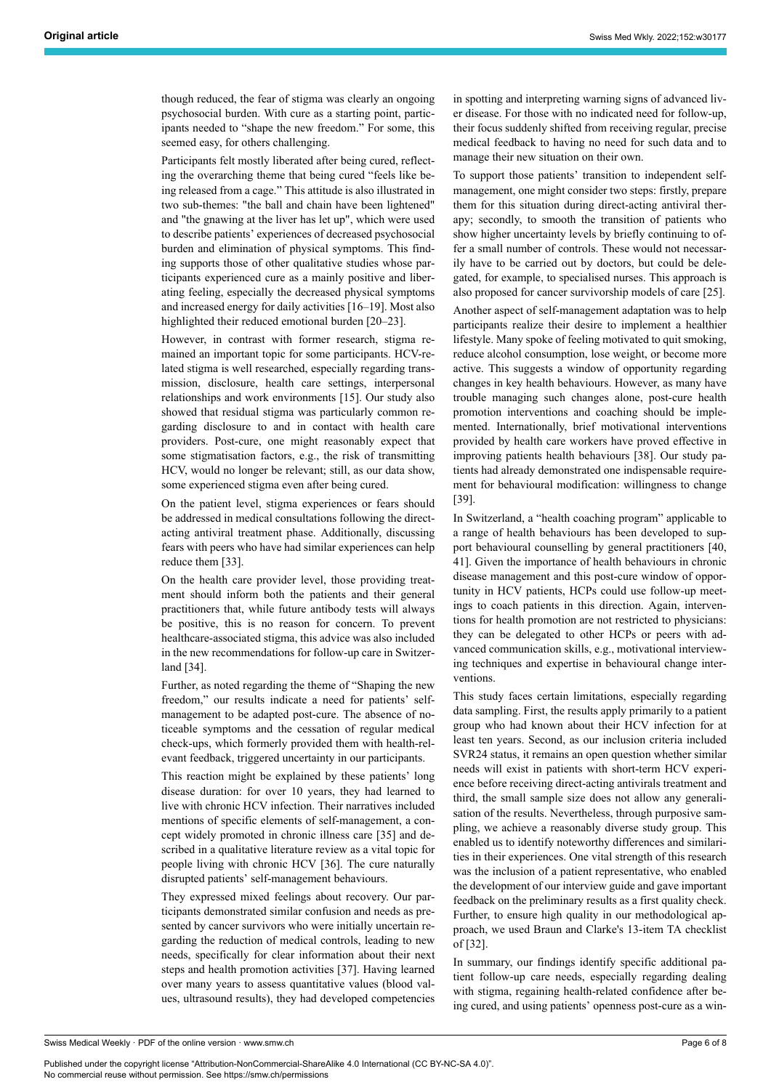though reduced, the fear of stigma was clearly an ongoing psychosocial burden. With cure as a starting point, participants needed to "shape the new freedom." For some, this seemed easy, for others challenging.

Participants felt mostly liberated after being cured, reflecting the overarching theme that being cured "feels like being released from a cage." This attitude is also illustrated in two sub-themes: "the ball and chain have been lightened" and "the gnawing at the liver has let up", which were used to describe patients' experiences of decreased psychosocial burden and elimination of physical symptoms. This finding supports those of other qualitative studies whose participants experienced cure as a mainly positive and liberating feeling, especially the decreased physical symptoms and increased energy for daily activities [16–19]. Most also highlighted their reduced emotional burden [20–23].

However, in contrast with former research, stigma remained an important topic for some participants. HCV-related stigma is well researched, especially regarding transmission, disclosure, health care settings, interpersonal relationships and work environments [15]. Our study also showed that residual stigma was particularly common regarding disclosure to and in contact with health care providers. Post-cure, one might reasonably expect that some stigmatisation factors, e.g., the risk of transmitting HCV, would no longer be relevant; still, as our data show, some experienced stigma even after being cured.

On the patient level, stigma experiences or fears should be addressed in medical consultations following the directacting antiviral treatment phase. Additionally, discussing fears with peers who have had similar experiences can help reduce them [33].

On the health care provider level, those providing treatment should inform both the patients and their general practitioners that, while future antibody tests will always be positive, this is no reason for concern. To prevent healthcare-associated stigma, this advice was also included in the new recommendations for follow-up care in Switzerland [34].

Further, as noted regarding the theme of "Shaping the new freedom," our results indicate a need for patients' selfmanagement to be adapted post-cure. The absence of noticeable symptoms and the cessation of regular medical check-ups, which formerly provided them with health-relevant feedback, triggered uncertainty in our participants.

This reaction might be explained by these patients' long disease duration: for over 10 years, they had learned to live with chronic HCV infection. Their narratives included mentions of specific elements of self-management, a concept widely promoted in chronic illness care [35] and described in a qualitative literature review as a vital topic for people living with chronic HCV [36]. The cure naturally disrupted patients' self-management behaviours.

They expressed mixed feelings about recovery. Our participants demonstrated similar confusion and needs as presented by cancer survivors who were initially uncertain regarding the reduction of medical controls, leading to new needs, specifically for clear information about their next steps and health promotion activities [37]. Having learned over many years to assess quantitative values (blood values, ultrasound results), they had developed competencies in spotting and interpreting warning signs of advanced liver disease. For those with no indicated need for follow-up, their focus suddenly shifted from receiving regular, precise medical feedback to having no need for such data and to manage their new situation on their own.

To support those patients' transition to independent selfmanagement, one might consider two steps: firstly, prepare them for this situation during direct-acting antiviral therapy; secondly, to smooth the transition of patients who show higher uncertainty levels by briefly continuing to offer a small number of controls. These would not necessarily have to be carried out by doctors, but could be delegated, for example, to specialised nurses. This approach is also proposed for cancer survivorship models of care [25].

Another aspect of self-management adaptation was to help participants realize their desire to implement a healthier lifestyle. Many spoke of feeling motivated to quit smoking, reduce alcohol consumption, lose weight, or become more active. This suggests a window of opportunity regarding changes in key health behaviours. However, as many have trouble managing such changes alone, post-cure health promotion interventions and coaching should be implemented. Internationally, brief motivational interventions provided by health care workers have proved effective in improving patients health behaviours [38]. Our study patients had already demonstrated one indispensable requirement for behavioural modification: willingness to change [39].

In Switzerland, a "health coaching program" applicable to a range of health behaviours has been developed to support behavioural counselling by general practitioners [40, 41]. Given the importance of health behaviours in chronic disease management and this post-cure window of opportunity in HCV patients, HCPs could use follow-up meetings to coach patients in this direction. Again, interventions for health promotion are not restricted to physicians: they can be delegated to other HCPs or peers with advanced communication skills, e.g., motivational interviewing techniques and expertise in behavioural change interventions.

This study faces certain limitations, especially regarding data sampling. First, the results apply primarily to a patient group who had known about their HCV infection for at least ten years. Second, as our inclusion criteria included SVR24 status, it remains an open question whether similar needs will exist in patients with short-term HCV experience before receiving direct-acting antivirals treatment and third, the small sample size does not allow any generalisation of the results. Nevertheless, through purposive sampling, we achieve a reasonably diverse study group. This enabled us to identify noteworthy differences and similarities in their experiences. One vital strength of this research was the inclusion of a patient representative, who enabled the development of our interview guide and gave important feedback on the preliminary results as a first quality check. Further, to ensure high quality in our methodological approach, we used Braun and Clarke's 13-item TA checklist of [32].

In summary, our findings identify specific additional patient follow-up care needs, especially regarding dealing with stigma, regaining health-related confidence after being cured, and using patients' openness post-cure as a win-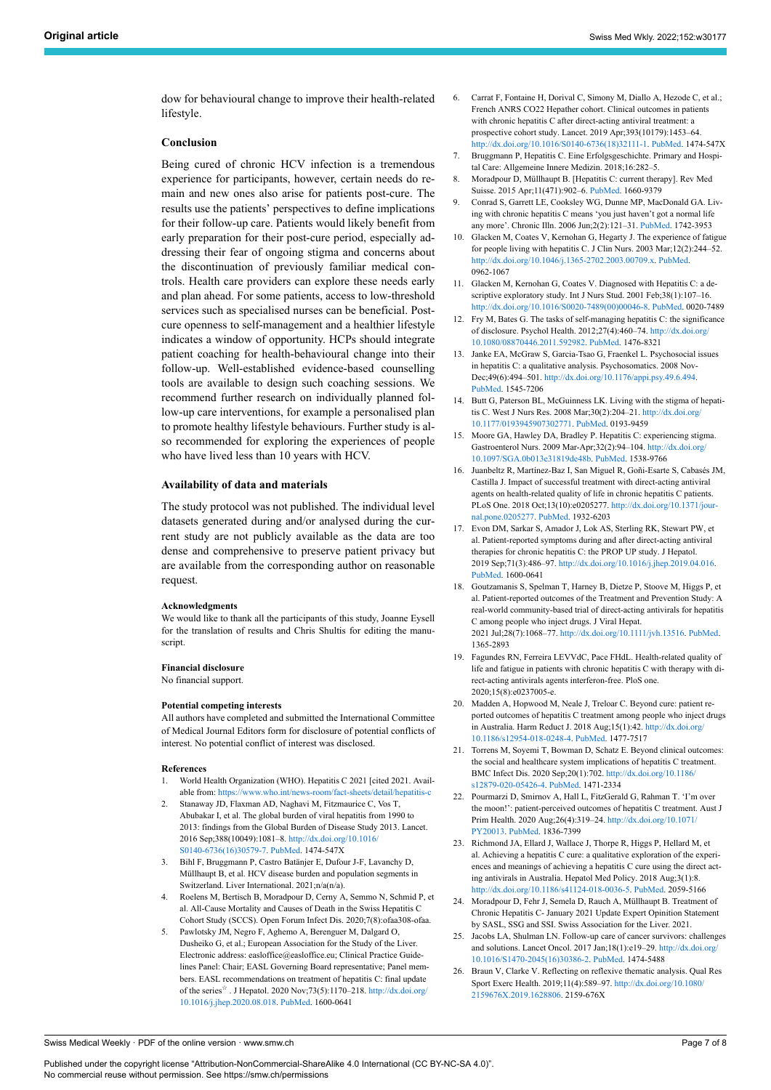dow for behavioural change to improve their health-related lifestyle.

#### **Conclusion**

Being cured of chronic HCV infection is a tremendous experience for participants, however, certain needs do remain and new ones also arise for patients post-cure. The results use the patients' perspectives to define implications for their follow-up care. Patients would likely benefit from early preparation for their post-cure period, especially addressing their fear of ongoing stigma and concerns about the discontinuation of previously familiar medical controls. Health care providers can explore these needs early and plan ahead. For some patients, access to low-threshold services such as specialised nurses can be beneficial. Postcure openness to self-management and a healthier lifestyle indicates a window of opportunity. HCPs should integrate patient coaching for health-behavioural change into their follow-up. Well-established evidence-based counselling tools are available to design such coaching sessions. We recommend further research on individually planned follow-up care interventions, for example a personalised plan to promote healthy lifestyle behaviours. Further study is also recommended for exploring the experiences of people who have lived less than 10 years with HCV.

#### **Availability of data and materials**

The study protocol was not published. The individual level datasets generated during and/or analysed during the current study are not publicly available as the data are too dense and comprehensive to preserve patient privacy but are available from the corresponding author on reasonable request.

#### **Acknowledgments**

We would like to thank all the participants of this study, Joanne Eysell for the translation of results and Chris Shultis for editing the manuscript.

#### **Financial disclosure**

No financial support.

#### **Potential competing interests**

All authors have completed and submitted the International Committee of Medical Journal Editors form for disclosure of potential conflicts of interest. No potential conflict of interest was disclosed.

#### **References**

- 1. World Health Organization (WHO). Hepatitis C 2021 [cited 2021. Available from: <https://www.who.int/news-room/fact-sheets/detail/hepatitis-c>
- Stanaway JD, Flaxman AD, Naghavi M, Fitzmaurice C, Vos T, Abubakar I, et al. The global burden of viral hepatitis from 1990 to 2013: findings from the Global Burden of Disease Study 2013. Lancet. 2016 Sep;388(10049):1081–8. [http://dx.doi.org/10.1016/](http://dx.doi.org/10.1016/S0140-6736(16)30579-7) [S0140-6736\(16\)30579-7.](http://dx.doi.org/10.1016/S0140-6736(16)30579-7) [PubMed.](http://www.ncbi.nlm.nih.gov/entrez/query.fcgi?cmd=Retrieve&db=PubMed&list_uids=27394647&dopt=Abstract) 1474-547X
- 3. Bihl F, Bruggmann P, Castro Batänier E, Dufour J-F, Lavanchy D, Müllhaupt B, et al. HCV disease burden and population segments in Switzerland. Liver International. 2021;n/a(n/a).
- 4. Roelens M, Bertisch B, Moradpour D, Cerny A, Semmo N, Schmid P, et al. All-Cause Mortality and Causes of Death in the Swiss Hepatitis C Cohort Study (SCCS). Open Forum Infect Dis. 2020;7(8):ofaa308-ofaa.
- 5. Pawlotsky JM, Negro F, Aghemo A, Berenguer M, Dalgard O, Dusheiko G, et al.; European Association for the Study of the Liver. Electronic address: easloffice@easloffice.eu; Clinical Practice Guidelines Panel: Chair; EASL Governing Board representative; Panel members. EASL recommendations on treatment of hepatitis C: final update of the series<sup>☆</sup>. J Hepatol. 2020 Nov; 73(5):1170–218. http://dx.doi.org [10.1016/j.jhep.2020.08.018](http://dx.doi.org/10.1016/j.jhep.2020.08.018). [PubMed.](http://www.ncbi.nlm.nih.gov/entrez/query.fcgi?cmd=Retrieve&db=PubMed&list_uids=32956768&dopt=Abstract) 1600-0641
- 6. Carrat F, Fontaine H, Dorival C, Simony M, Diallo A, Hezode C, et al.; French ANRS CO22 Hepather cohort. Clinical outcomes in patients with chronic hepatitis C after direct-acting antiviral treatment: a prospective cohort study. Lancet. 2019 Apr;393(10179):1453–64. [http://dx.doi.org/10.1016/S0140-6736\(18\)32111-1.](http://dx.doi.org/10.1016/S0140-6736(18)32111-1) [PubMed](http://www.ncbi.nlm.nih.gov/entrez/query.fcgi?cmd=Retrieve&db=PubMed&list_uids=30765123&dopt=Abstract). 1474-547X
- 7. Bruggmann P, Hepatitis C. Eine Erfolgsgeschichte. Primary and Hospital Care: Allgemeine Innere Medizin. 2018;16:282–5.
- 8. Moradpour D, Müllhaupt B. [Hepatitis C: current therapy]. Rev Med Suisse. 2015 Apr;11(471):902–6. [PubMed.](http://www.ncbi.nlm.nih.gov/entrez/query.fcgi?cmd=Retrieve&db=PubMed&list_uids=26072595&dopt=Abstract) 1660-9379
- 9. Conrad S, Garrett LE, Cooksley WG, Dunne MP, MacDonald GA. Living with chronic hepatitis C means 'you just haven't got a normal life any more'. Chronic Illn. 2006 Jun;2(2):121–31. [PubMed](http://www.ncbi.nlm.nih.gov/entrez/query.fcgi?cmd=Retrieve&db=PubMed&list_uids=17175655&dopt=Abstract). 1742-3953
- 10. Glacken M, Coates V, Kernohan G, Hegarty J. The experience of fatigue for people living with hepatitis C. J Clin Nurs. 2003 Mar;12(2):244–52. <http://dx.doi.org/10.1046/j.1365-2702.2003.00709.x>. [PubMed.](http://www.ncbi.nlm.nih.gov/entrez/query.fcgi?cmd=Retrieve&db=PubMed&list_uids=12603557&dopt=Abstract) 0962-1067
- 11. Glacken M, Kernohan G, Coates V. Diagnosed with Hepatitis C: a descriptive exploratory study. Int J Nurs Stud. 2001 Feb;38(1):107–16. [http://dx.doi.org/10.1016/S0020-7489\(00\)00046-8](http://dx.doi.org/10.1016/S0020-7489(00)00046-8). [PubMed.](http://www.ncbi.nlm.nih.gov/entrez/query.fcgi?cmd=Retrieve&db=PubMed&list_uids=11137728&dopt=Abstract) 0020-7489
- 12. Fry M, Bates G. The tasks of self-managing hepatitis C: the significance of disclosure. Psychol Health. 2012;27(4):460–74. [http://dx.doi.org/](http://dx.doi.org/10.1080/08870446.2011.592982) [10.1080/08870446.2011.592982.](http://dx.doi.org/10.1080/08870446.2011.592982) [PubMed](http://www.ncbi.nlm.nih.gov/entrez/query.fcgi?cmd=Retrieve&db=PubMed&list_uids=21736430&dopt=Abstract). 1476-8321
- 13. Janke EA, McGraw S, Garcia-Tsao G, Fraenkel L. Psychosocial issues in hepatitis C: a qualitative analysis. Psychosomatics. 2008 Nov-Dec;49(6):494–501. <http://dx.doi.org/10.1176/appi.psy.49.6.494>. [PubMed](http://www.ncbi.nlm.nih.gov/entrez/query.fcgi?cmd=Retrieve&db=PubMed&list_uids=19122126&dopt=Abstract). 1545-7206
- 14. Butt G, Paterson BL, McGuinness LK. Living with the stigma of hepatitis C. West J Nurs Res. 2008 Mar;30(2):204–21. [http://dx.doi.org/](http://dx.doi.org/10.1177/0193945907302771) [10.1177/0193945907302771.](http://dx.doi.org/10.1177/0193945907302771) [PubMed](http://www.ncbi.nlm.nih.gov/entrez/query.fcgi?cmd=Retrieve&db=PubMed&list_uids=17630381&dopt=Abstract). 0193-9459
- 15. Moore GA, Hawley DA, Bradley P. Hepatitis C: experiencing stigma. Gastroenterol Nurs. 2009 Mar-Apr;32(2):94–104. [http://dx.doi.org/](http://dx.doi.org/10.1097/SGA.0b013e31819de48b) [10.1097/SGA.0b013e31819de48b](http://dx.doi.org/10.1097/SGA.0b013e31819de48b). [PubMed.](http://www.ncbi.nlm.nih.gov/entrez/query.fcgi?cmd=Retrieve&db=PubMed&list_uids=19357473&dopt=Abstract) 1538-9766
- 16. Juanbeltz R, Martínez-Baz I, San Miguel R, Goñi-Esarte S, Cabasés JM, Castilla J. Impact of successful treatment with direct-acting antiviral agents on health-related quality of life in chronic hepatitis C patients. PLoS One. 2018 Oct;13(10):e0205277. [http://dx.doi.org/10.1371/jour](http://dx.doi.org/10.1371/journal.pone.0205277)[nal.pone.0205277.](http://dx.doi.org/10.1371/journal.pone.0205277) [PubMed.](http://www.ncbi.nlm.nih.gov/entrez/query.fcgi?cmd=Retrieve&db=PubMed&list_uids=30300395&dopt=Abstract) 1932-6203
- 17. Evon DM, Sarkar S, Amador J, Lok AS, Sterling RK, Stewart PW, et al. Patient-reported symptoms during and after direct-acting antiviral therapies for chronic hepatitis C: the PROP UP study. J Hepatol. 2019 Sep;71(3):486–97. [http://dx.doi.org/10.1016/j.jhep.2019.04.016.](http://dx.doi.org/10.1016/j.jhep.2019.04.016) [PubMed](http://www.ncbi.nlm.nih.gov/entrez/query.fcgi?cmd=Retrieve&db=PubMed&list_uids=31096006&dopt=Abstract). 1600-0641
- 18. Goutzamanis S, Spelman T, Harney B, Dietze P, Stoove M, Higgs P, et al. Patient-reported outcomes of the Treatment and Prevention Study: A real-world community-based trial of direct-acting antivirals for hepatitis C among people who inject drugs. J Viral Hepat. 2021 Jul;28(7):1068–77. [http://dx.doi.org/10.1111/jvh.13516.](http://dx.doi.org/10.1111/jvh.13516) [PubMed.](http://www.ncbi.nlm.nih.gov/entrez/query.fcgi?cmd=Retrieve&db=PubMed&list_uids=33880820&dopt=Abstract) 1365-2893
- 19. Fagundes RN, Ferreira LEVVdC, Pace FHdL. Health-related quality of life and fatigue in patients with chronic hepatitis C with therapy with direct-acting antivirals agents interferon-free. PloS one. 2020;15(8):e0237005-e.
- 20. Madden A, Hopwood M, Neale J, Treloar C. Beyond cure: patient reported outcomes of hepatitis C treatment among people who inject drugs in Australia. Harm Reduct J. 2018 Aug;15(1):42. [http://dx.doi.org/](http://dx.doi.org/10.1186/s12954-018-0248-4) [10.1186/s12954-018-0248-4](http://dx.doi.org/10.1186/s12954-018-0248-4). [PubMed](http://www.ncbi.nlm.nih.gov/entrez/query.fcgi?cmd=Retrieve&db=PubMed&list_uids=30111327&dopt=Abstract). 1477-7517
- 21. Torrens M, Soyemi T, Bowman D, Schatz E. Beyond clinical outcomes: the social and healthcare system implications of hepatitis C treatment. BMC Infect Dis. 2020 Sep;20(1):702. [http://dx.doi.org/10.1186/](http://dx.doi.org/10.1186/s12879-020-05426-4) [s12879-020-05426-4.](http://dx.doi.org/10.1186/s12879-020-05426-4) [PubMed](http://www.ncbi.nlm.nih.gov/entrez/query.fcgi?cmd=Retrieve&db=PubMed&list_uids=32972393&dopt=Abstract). 1471-2334
- 22. Pourmarzi D, Smirnov A, Hall L, FitzGerald G, Rahman T. 'I'm over the moon!': patient-perceived outcomes of hepatitis C treatment. Aust J Prim Health. 2020 Aug;26(4):319–24. [http://dx.doi.org/10.1071/](http://dx.doi.org/10.1071/PY20013) [PY20013.](http://dx.doi.org/10.1071/PY20013) [PubMed](http://www.ncbi.nlm.nih.gov/entrez/query.fcgi?cmd=Retrieve&db=PubMed&list_uids=32580867&dopt=Abstract). 1836-7399
- 23. Richmond JA, Ellard J, Wallace J, Thorpe R, Higgs P, Hellard M, et al. Achieving a hepatitis C cure: a qualitative exploration of the experiences and meanings of achieving a hepatitis C cure using the direct acting antivirals in Australia. Hepatol Med Policy. 2018 Aug;3(1):8. <http://dx.doi.org/10.1186/s41124-018-0036-5>. [PubMed.](http://www.ncbi.nlm.nih.gov/entrez/query.fcgi?cmd=Retrieve&db=PubMed&list_uids=30288331&dopt=Abstract) 2059-5166
- 24. Moradpour D, Fehr J, Semela D, Rauch A, Müllhaupt B. Treatment of Chronic Hepatitis C- January 2021 Update Expert Opinition Statement by SASL, SSG and SSI. Swiss Association for the Liver. 2021.
- 25. Jacobs LA, Shulman LN. Follow-up care of cancer survivors: challenges and solutions. Lancet Oncol. 2017 Jan;18(1):e19–29. [http://dx.doi.org/](http://dx.doi.org/10.1016/S1470-2045(16)30386-2) [10.1016/S1470-2045\(16\)30386-2.](http://dx.doi.org/10.1016/S1470-2045(16)30386-2) [PubMed](http://www.ncbi.nlm.nih.gov/entrez/query.fcgi?cmd=Retrieve&db=PubMed&list_uids=28049574&dopt=Abstract). 1474-5488
- 26. Braun V, Clarke V. Reflecting on reflexive thematic analysis. Qual Res Sport Exerc Health. 2019;11(4):589–97. [http://dx.doi.org/10.1080/](http://dx.doi.org/10.1080/2159676X.2019.1628806) [2159676X.2019.1628806](http://dx.doi.org/10.1080/2159676X.2019.1628806). 2159-676X